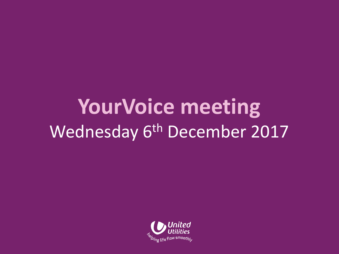## **YourVoice meeting** Wednesday 6<sup>th</sup> December 2017